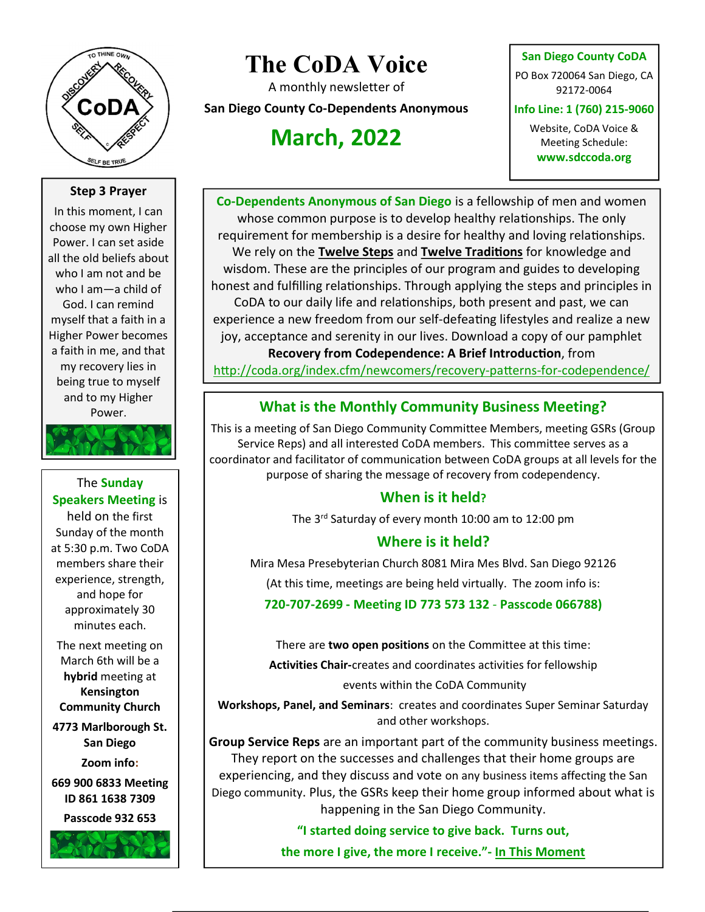

# The CoDA Voice

A monthly newsletter of

San Diego County Co-Dependents Anonymous

## March, 2022

#### San Diego County CoDA

PO Box 720064 San Diego, CA 92172-0064

Info Line: 1 (760) 215-9060

Website, CoDA Voice & Meeting Schedule: www.sdccoda.org

### Step 3 Prayer

In this moment, I can choose my own Higher Power. I can set aside all the old beliefs about who I am not and be who I am—a child of God. I can remind myself that a faith in a Higher Power becomes a faith in me, and that my recovery lies in being true to myself and to my Higher Power.

The Sunday Speakers Meeting is held on the first Sunday of the month at 5:30 p.m. Two CoDA members share their experience, strength, and hope for approximately 30 minutes each.

The next meeting on March 6th will be a hybrid meeting at Kensington Community Church

4773 Marlborough St. San Diego

Zoom info:

669 900 6833 Meeting ID 861 1638 7309

Passcode 932 653



Co-Dependents Anonymous of San Diego is a fellowship of men and women whose common purpose is to develop healthy relationships. The only requirement for membership is a desire for healthy and loving relationships. We rely on the Twelve Steps and Twelve Traditions for knowledge and wisdom. These are the principles of our program and guides to developing honest and fulfilling relationships. Through applying the steps and principles in CoDA to our daily life and relationships, both present and past, we can experience a new freedom from our self-defeating lifestyles and realize a new joy, acceptance and serenity in our lives. Download a copy of our pamphlet Recovery from Codependence: A Brief Introduction, from http://coda.org/index.cfm/newcomers/recovery-patterns-for-codependence/

## What is the Monthly Community Business Meeting?

This is a meeting of San Diego Community Committee Members, meeting GSRs (Group Service Reps) and all interested CoDA members. This committee serves as a coordinator and facilitator of communication between CoDA groups at all levels for the purpose of sharing the message of recovery from codependency.

## When is it held?

The 3rd Saturday of every month 10:00 am to 12:00 pm

## Where is it held?

Mira Mesa Presebyterian Church 8081 Mira Mes Blvd. San Diego 92126

(At this time, meetings are being held virtually. The zoom info is:

720-707-2699 - Meeting ID 773 573 132 - Passcode 066788)

There are two open positions on the Committee at this time:

Activities Chair-creates and coordinates activities for fellowship

events within the CoDA Community

Workshops, Panel, and Seminars: creates and coordinates Super Seminar Saturday and other workshops.

Group Service Reps are an important part of the community business meetings. They report on the successes and challenges that their home groups are experiencing, and they discuss and vote on any business items affecting the San Diego community. Plus, the GSRs keep their home group informed about what is happening in the San Diego Community.

"I started doing service to give back. Turns out,

the more I give, the more I receive." - In This Moment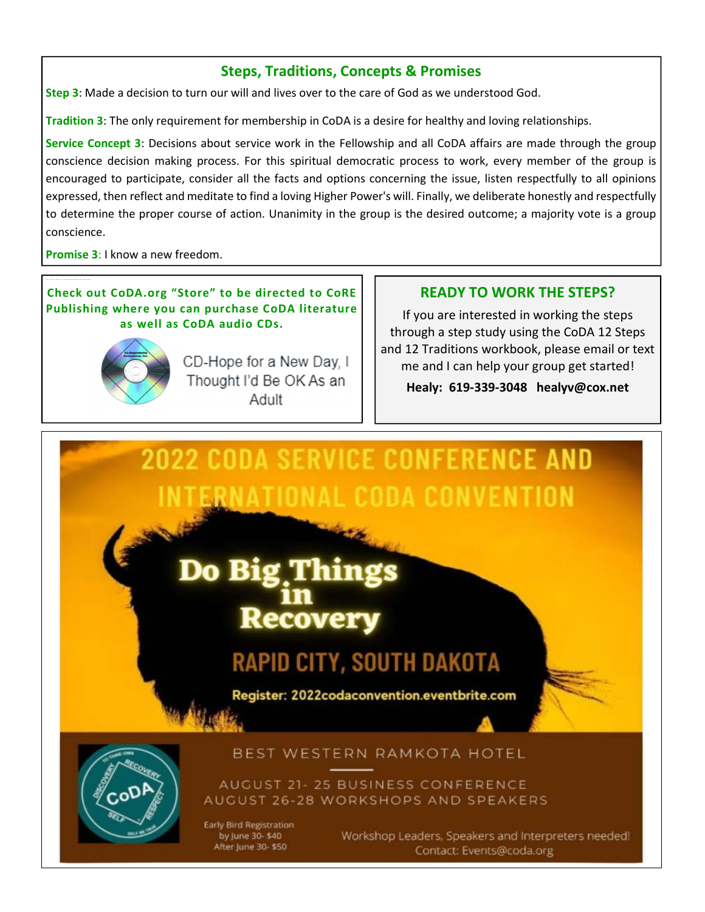## Steps, Traditions, Concepts & Promises

Step 3: Made a decision to turn our will and lives over to the care of God as we understood God.

Tradition 3: The only requirement for membership in CoDA is a desire for healthy and loving relationships.

Service Concept 3: Decisions about service work in the Fellowship and all CoDA affairs are made through the group conscience decision making process. For this spiritual democratic process to work, every member of the group is encouraged to participate, consider all the facts and options concerning the issue, listen respectfully to all opinions expressed, then reflect and meditate to find a loving Higher Power's will. Finally, we deliberate honestly and respectfully to determine the proper course of action. Unanimity in the group is the desired outcome; a majority vote is a group conscience.

Promise 3: I know a new freedom.

#### Check out CoDA.org "Store" to be directed to CoRE Publishing where you can purchase CoDA literature as well as CoDA audio CDs.



CD-Hope for a New Day, I Thought I'd Be OK As an Adult

### READY TO WORK THE STEPS?

If you are interested in working the steps through a step study using the CoDA 12 Steps and 12 Traditions workbook, please email or text me and I can help your group get started!

Healy: 619-339-3048 healyv@cox.net



by June 30-\$40 After June 30-\$50 Workshop Leaders, Speakers and Interpreters needed! Contact: Events@coda.org